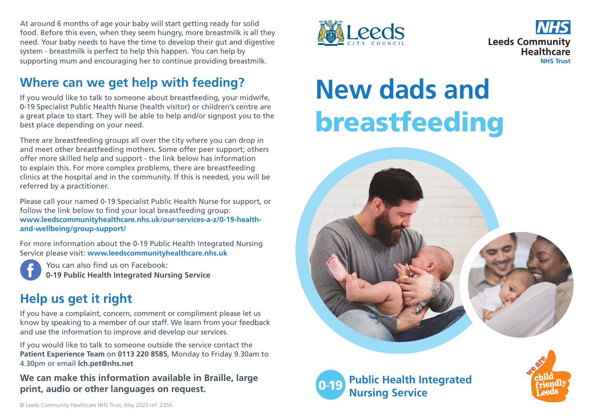At around 6 months of age your baby will start getting ready for solid food. Before this even, when they seem hungry, more breastmilk is all they need. Your baby needs to have the time to develop their gut and digestive system - breastmilk is perfect to help this happen. You can help by supporting mum and encouraging her to continue providing breastmilk.

## **Where can we get help with feeding?**

If you would like to talk to someone about breastfeeding, your midwife, 0-19 Specialist Public Health Nurse (health visitor) or children's centre are a great place to start. They will be able to help and/or signpost you to the best place depending on your need.

There are breastfeeding groups all over the city where you can drop in and meet other breastfeeding mothers. Some offer peer support; others offer more skilled help and support - the link below has information to explain this. For more complex problems, there are breastfeeding clinics at the hospital and in the community. If this is needed, you will be referred by a practitioner.

Please call your named 0-19 Specialist Public Health Nurse for support, or follow the link below to find your local breastfeeding group: **www.leedscommunityhealthcare.nhs.uk/our-services-a-z/0-19-healthand-wellbeing/group-support/**

For more information about the 0-19 Public Health Integrated Nursing Service please visit: **www.leedscommunityhealthcare.nhs.uk**

You can also find us on Facebook: **0-19 Public Health Integrated Nursing Service**

### **Help us get it right**

If you have a complaint, concern, comment or compliment please let us know by speaking to a member of our staff. We learn from your feedback and use the information to improve and develop our services.

If you would like to talk to someone outside the service contact the **Patient Experience Team** on **0113 220 8585**, Monday to Friday 9.30am to 4.30pm or email **lch.pet@nhs.net**

**We can make this information available in Braille, large print, audio or other languages on request.** 





# **New dads and** breastfeeding



**Public Health Integrated Nursing Service**